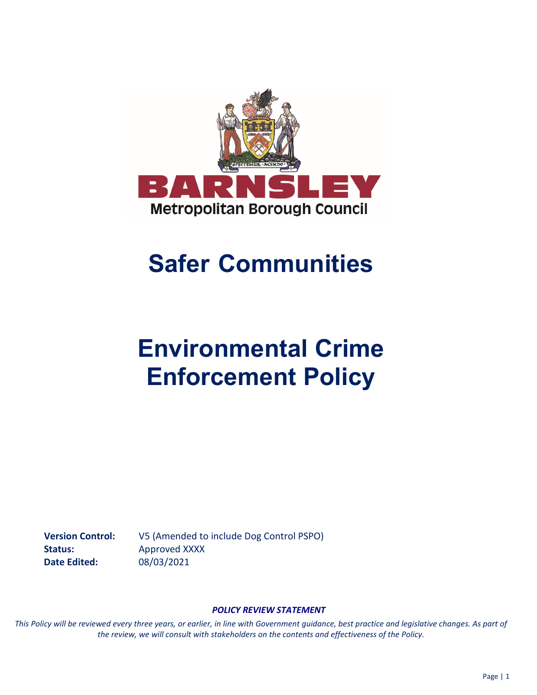

## **Safer Communities**

# **Environmental Crime Enforcement Policy**

**Version Control:** V5 (Amended to include Dog Control PSPO) Status: **Approved XXXX Date Edited:** 08/03/2021

#### *POLICY REVIEW STATEMENT*

*This Policy will be reviewed every three years, or earlier, in line with Government guidance, best practice and legislative changes. As part of the review, we will consult with stakeholders on the contents and effectiveness of the Policy.*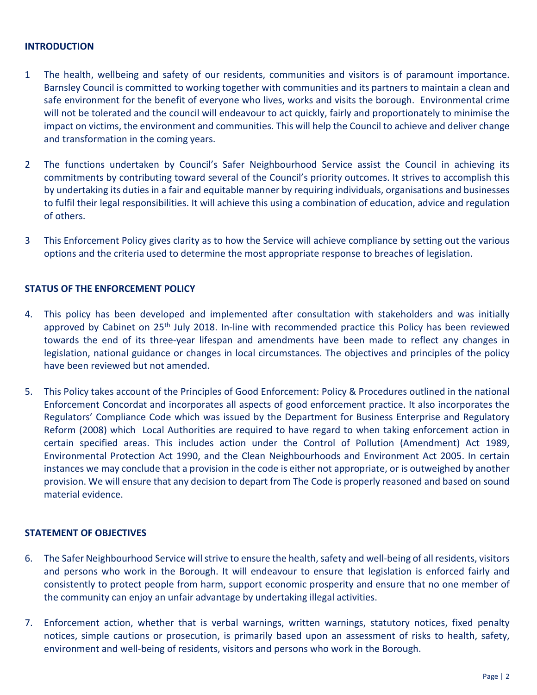#### **INTRODUCTION**

- 1 The health, wellbeing and safety of our residents, communities and visitors is of paramount importance. Barnsley Council is committed to working together with communities and its partners to maintain a clean and safe environment for the benefit of everyone who lives, works and visits the borough. Environmental crime will not be tolerated and the council will endeavour to act quickly, fairly and proportionately to minimise the impact on victims, the environment and communities. This will help the Council to achieve and deliver change and transformation in the coming years.
- 2 The functions undertaken by Council's Safer Neighbourhood Service assist the Council in achieving its commitments by contributing toward several of the Council's priority outcomes. It strives to accomplish this by undertaking its duties in a fair and equitable manner by requiring individuals, organisations and businesses to fulfil their legal responsibilities. It will achieve this using a combination of education, advice and regulation of others.
- 3 This Enforcement Policy gives clarity as to how the Service will achieve compliance by setting out the various options and the criteria used to determine the most appropriate response to breaches of legislation.

#### **STATUS OF THE ENFORCEMENT POLICY**

- 4. This policy has been developed and implemented after consultation with stakeholders and was initially approved by Cabinet on 25<sup>th</sup> July 2018. In-line with recommended practice this Policy has been reviewed towards the end of its three-year lifespan and amendments have been made to reflect any changes in legislation, national guidance or changes in local circumstances. The objectives and principles of the policy have been reviewed but not amended.
- 5. This Policy takes account of the Principles of Good Enforcement: Policy & Procedures outlined in the national Enforcement Concordat and incorporates all aspects of good enforcement practice. It also incorporates the Regulators' Compliance Code which was issued by the Department for Business Enterprise and Regulatory Reform (2008) which Local Authorities are required to have regard to when taking enforcement action in certain specified areas. This includes action under the Control of Pollution (Amendment) Act 1989, Environmental Protection Act 1990, and the Clean Neighbourhoods and Environment Act 2005. In certain instances we may conclude that a provision in the code is either not appropriate, or is outweighed by another provision. We will ensure that any decision to depart from The Code is properly reasoned and based on sound material evidence.

#### **STATEMENT OF OBJECTIVES**

- 6. The Safer Neighbourhood Service will strive to ensure the health, safety and well-being of all residents, visitors and persons who work in the Borough. It will endeavour to ensure that legislation is enforced fairly and consistently to protect people from harm, support economic prosperity and ensure that no one member of the community can enjoy an unfair advantage by undertaking illegal activities.
- 7. Enforcement action, whether that is verbal warnings, written warnings, statutory notices, fixed penalty notices, simple cautions or prosecution, is primarily based upon an assessment of risks to health, safety, environment and well-being of residents, visitors and persons who work in the Borough.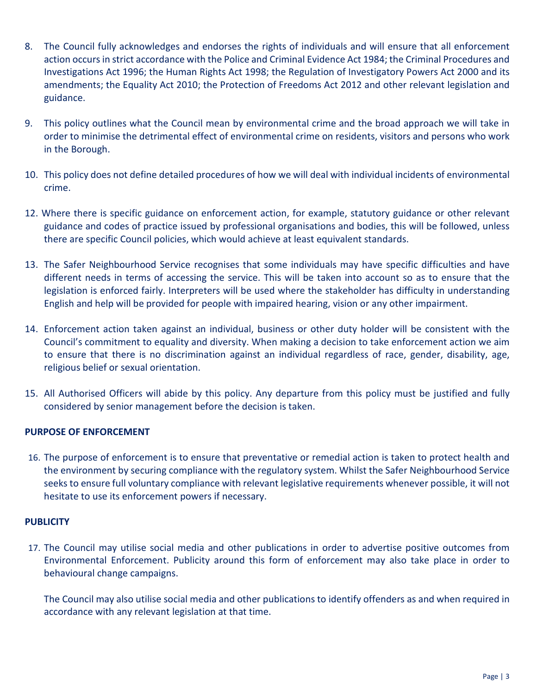- 8. The Council fully acknowledges and endorses the rights of individuals and will ensure that all enforcement action occurs in strict accordance with the Police and Criminal Evidence Act 1984; the Criminal Procedures and Investigations Act 1996; the Human Rights Act 1998; the Regulation of Investigatory Powers Act 2000 and its amendments; the Equality Act 2010; the Protection of Freedoms Act 2012 and other relevant legislation and guidance.
- 9. This policy outlines what the Council mean by environmental crime and the broad approach we will take in order to minimise the detrimental effect of environmental crime on residents, visitors and persons who work in the Borough.
- 10. This policy does not define detailed procedures of how we will deal with individual incidents of environmental crime.
- 12. Where there is specific guidance on enforcement action, for example, statutory guidance or other relevant guidance and codes of practice issued by professional organisations and bodies, this will be followed, unless there are specific Council policies, which would achieve at least equivalent standards.
- 13. The Safer Neighbourhood Service recognises that some individuals may have specific difficulties and have different needs in terms of accessing the service. This will be taken into account so as to ensure that the legislation is enforced fairly. Interpreters will be used where the stakeholder has difficulty in understanding English and help will be provided for people with impaired hearing, vision or any other impairment.
- 14. Enforcement action taken against an individual, business or other duty holder will be consistent with the Council's commitment to equality and diversity. When making a decision to take enforcement action we aim to ensure that there is no discrimination against an individual regardless of race, gender, disability, age, religious belief or sexual orientation.
- 15. All Authorised Officers will abide by this policy. Any departure from this policy must be justified and fully considered by senior management before the decision is taken.

#### **PURPOSE OF ENFORCEMENT**

16. The purpose of enforcement is to ensure that preventative or remedial action is taken to protect health and the environment by securing compliance with the regulatory system. Whilst the Safer Neighbourhood Service seeks to ensure full voluntary compliance with relevant legislative requirements whenever possible, it will not hesitate to use its enforcement powers if necessary.

#### **PUBLICITY**

17. The Council may utilise social media and other publications in order to advertise positive outcomes from Environmental Enforcement. Publicity around this form of enforcement may also take place in order to behavioural change campaigns.

The Council may also utilise social media and other publications to identify offenders as and when required in accordance with any relevant legislation at that time.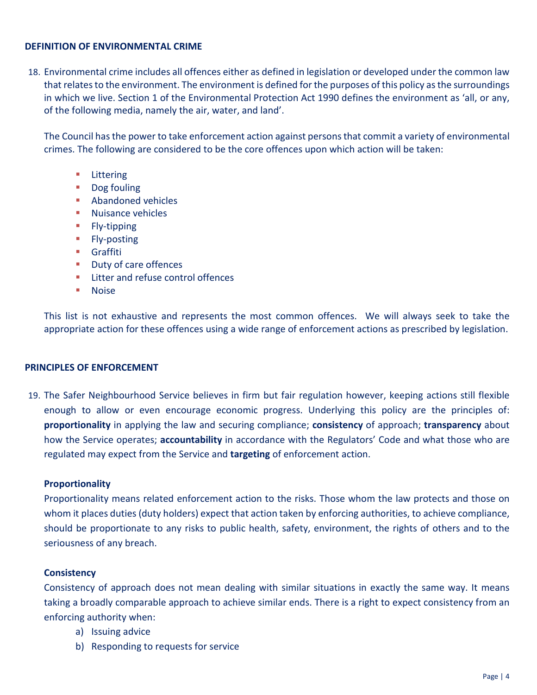#### **DEFINITION OF ENVIRONMENTAL CRIME**

18. Environmental crime includes all offences either as defined in legislation or developed under the common law that relates to the environment. The environment is defined for the purposes of this policy as the surroundings in which we live. Section 1 of the Environmental Protection Act 1990 defines the environment as 'all, or any, of the following media, namely the air, water, and land'.

The Council has the power to take enforcement action against persons that commit a variety of environmental crimes. The following are considered to be the core offences upon which action will be taken:

- **E** Littering
- **Dog fouling**
- **Abandoned vehicles**
- **Nuisance vehicles**
- **Fly-tipping**
- **Fly-posting**
- **Graffiti**
- **Duty of care offences**
- **EXECUTE:** Litter and refuse control offences
- **Noise**

This list is not exhaustive and represents the most common offences. We will always seek to take the appropriate action for these offences using a wide range of enforcement actions as prescribed by legislation.

#### **PRINCIPLES OF ENFORCEMENT**

19. The Safer Neighbourhood Service believes in firm but fair regulation however, keeping actions still flexible enough to allow or even encourage economic progress. Underlying this policy are the principles of: **proportionality** in applying the law and securing compliance; **consistency** of approach; **transparency** about how the Service operates; **accountability** in accordance with the Regulators' Code and what those who are regulated may expect from the Service and **targeting** of enforcement action.

## **Proportionality**

Proportionality means related enforcement action to the risks. Those whom the law protects and those on whom it places duties (duty holders) expect that action taken by enforcing authorities, to achieve compliance, should be proportionate to any risks to public health, safety, environment, the rights of others and to the seriousness of any breach.

## **Consistency**

Consistency of approach does not mean dealing with similar situations in exactly the same way. It means taking a broadly comparable approach to achieve similar ends. There is a right to expect consistency from an enforcing authority when:

- a) Issuing advice
- b) Responding to requests for service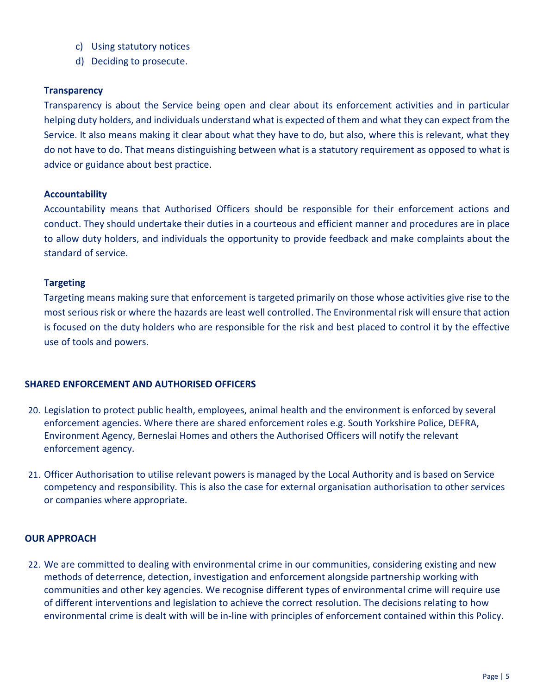- c) Using statutory notices
- d) Deciding to prosecute.

#### **Transparency**

Transparency is about the Service being open and clear about its enforcement activities and in particular helping duty holders, and individuals understand what is expected of them and what they can expect from the Service. It also means making it clear about what they have to do, but also, where this is relevant, what they do not have to do. That means distinguishing between what is a statutory requirement as opposed to what is advice or guidance about best practice.

#### **Accountability**

Accountability means that Authorised Officers should be responsible for their enforcement actions and conduct. They should undertake their duties in a courteous and efficient manner and procedures are in place to allow duty holders, and individuals the opportunity to provide feedback and make complaints about the standard of service.

#### **Targeting**

Targeting means making sure that enforcement is targeted primarily on those whose activities give rise to the most serious risk or where the hazards are least well controlled. The Environmental risk will ensure that action is focused on the duty holders who are responsible for the risk and best placed to control it by the effective use of tools and powers.

#### **SHARED ENFORCEMENT AND AUTHORISED OFFICERS**

- 20. Legislation to protect public health, employees, animal health and the environment is enforced by several enforcement agencies. Where there are shared enforcement roles e.g. South Yorkshire Police, DEFRA, Environment Agency, Berneslai Homes and others the Authorised Officers will notify the relevant enforcement agency.
- 21. Officer Authorisation to utilise relevant powers is managed by the Local Authority and is based on Service competency and responsibility. This is also the case for external organisation authorisation to other services or companies where appropriate.

#### **OUR APPROACH**

22. We are committed to dealing with environmental crime in our communities, considering existing and new methods of deterrence, detection, investigation and enforcement alongside partnership working with communities and other key agencies. We recognise different types of environmental crime will require use of different interventions and legislation to achieve the correct resolution. The decisions relating to how environmental crime is dealt with will be in-line with principles of enforcement contained within this Policy.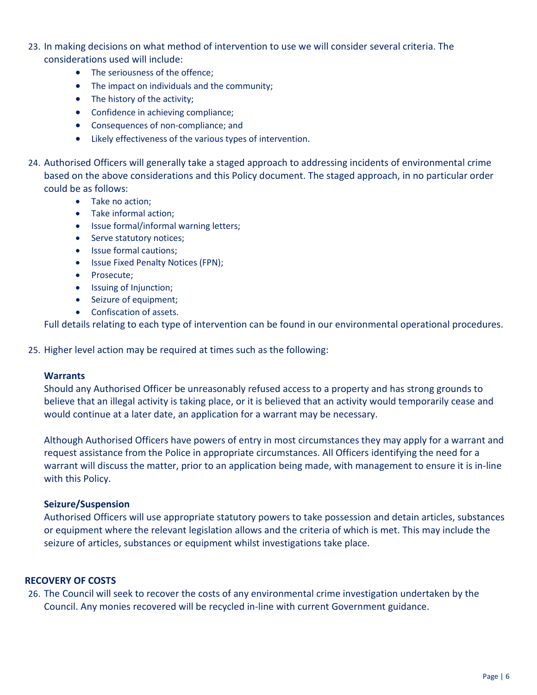- 23. In making decisions on what method of intervention to use we will consider several criteria. The considerations used will include:
	- The seriousness of the offence:
	- The impact on individuals and the community;
	- The history of the activity;
	- Confidence in achieving compliance;
	- Consequences of non-compliance; and
	- Likely effectiveness of the various types of intervention.
- 24. Authorised Officers will generally take a staged approach to addressing incidents of environmental crime based on the above considerations and this Policy document. The staged approach, in no particular order could be as follows:
	- Take no action;
	- Take informal action;
	- Issue formal/informal warning letters;
	- Serve statutory notices;
	- Issue formal cautions;
	- Issue Fixed Penalty Notices (FPN);
	- Prosecute;
	- Issuing of Injunction;
	- Seizure of equipment;
	- Confiscation of assets.

Full details relating to each type of intervention can be found in our environmental operational procedures.

25. Higher level action may be required at times such as the following:

#### **Warrants**

Should any Authorised Officer be unreasonably refused access to a property and has strong grounds to believe that an illegal activity is taking place, or it is believed that an activity would temporarily cease and would continue at a later date, an application for a warrant may be necessary.

Although Authorised Officers have powers of entry in most circumstances they may apply for a warrant and request assistance from the Police in appropriate circumstances. All Officers identifying the need for a warrant will discuss the matter, prior to an application being made, with management to ensure it is in-line with this Policy.

#### **Seizure/Suspension**

Authorised Officers will use appropriate statutory powers to take possession and detain articles, substances or equipment where the relevant legislation allows and the criteria of which is met. This may include the seizure of articles, substances or equipment whilst investigations take place.

#### **RECOVERY OF COSTS**

26. The Council will seek to recover the costs of any environmental crime investigation undertaken by the Council. Any monies recovered will be recycled in-line with current Government guidance.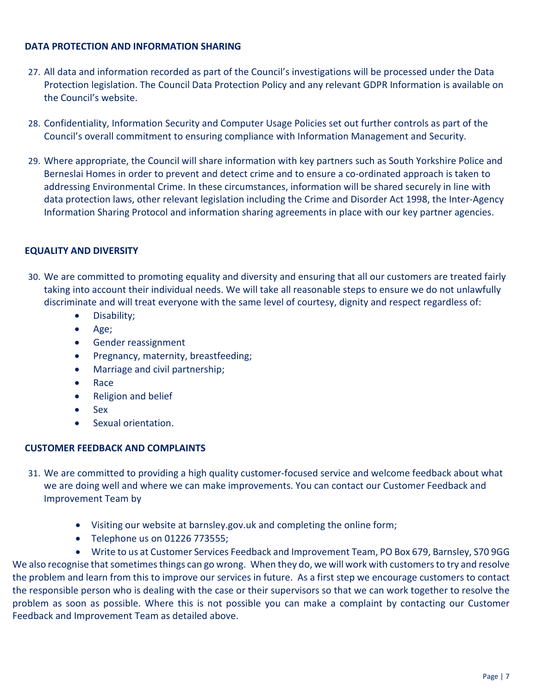#### **DATA PROTECTION AND INFORMATION SHARING**

- 27. All data and information recorded as part of the Council's investigations will be processed under the Data Protection legislation. The Council Data Protection Policy and any relevant GDPR Information is available on the Council's website.
- 28. Confidentiality, Information Security and Computer Usage Policies set out further controls as part of the Council's overall commitment to ensuring compliance with Information Management and Security.
- 29. Where appropriate, the Council will share information with key partners such as South Yorkshire Police and Berneslai Homes in order to prevent and detect crime and to ensure a co-ordinated approach is taken to addressing Environmental Crime. In these circumstances, information will be shared securely in line with data protection laws, other relevant legislation including the Crime and Disorder Act 1998, the Inter-Agency Information Sharing Protocol and information sharing agreements in place with our key partner agencies.

## **EQUALITY AND DIVERSITY**

- 30. We are committed to promoting equality and diversity and ensuring that all our customers are treated fairly taking into account their individual needs. We will take all reasonable steps to ensure we do not unlawfully discriminate and will treat everyone with the same level of courtesy, dignity and respect regardless of:
	- Disability;
	- Age;
	- Gender reassignment
	- Pregnancy, maternity, breastfeeding;
	- Marriage and civil partnership;
	- Race
	- Religion and belief
	- Sex
	- Sexual orientation.

## **CUSTOMER FEEDBACK AND COMPLAINTS**

- 31. We are committed to providing a high quality customer-focused service and welcome feedback about what we are doing well and where we can make improvements. You can contact our Customer Feedback and Improvement Team by
	- Visiting our website at barnsley.gov.uk and completing the online form;
	- Telephone us on 01226 773555;

• Write to us at Customer Services Feedback and Improvement Team, PO Box 679, Barnsley, S70 9GG We also recognise that sometimes things can go wrong. When they do, we will work with customers to try and resolve the problem and learn from this to improve our services in future. As a first step we encourage customers to contact the responsible person who is dealing with the case or their supervisors so that we can work together to resolve the problem as soon as possible. Where this is not possible you can make a complaint by contacting our Customer Feedback and Improvement Team as detailed above.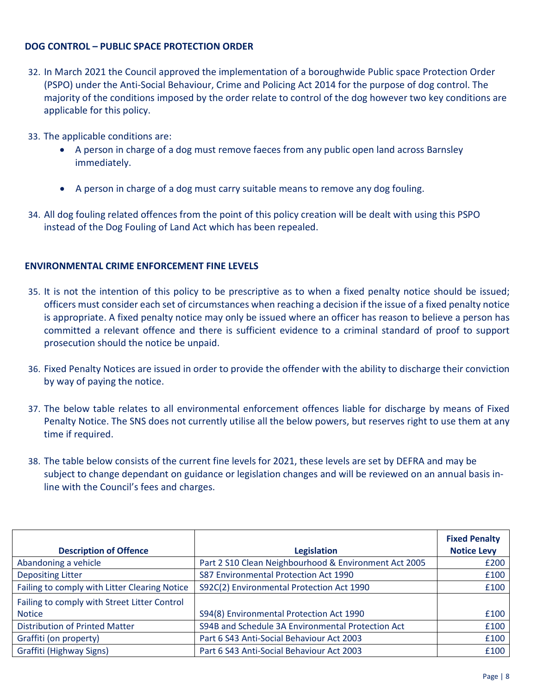#### **DOG CONTROL – PUBLIC SPACE PROTECTION ORDER**

- 32. In March 2021 the Council approved the implementation of a boroughwide Public space Protection Order (PSPO) under the Anti-Social Behaviour, Crime and Policing Act 2014 for the purpose of dog control. The majority of the conditions imposed by the order relate to control of the dog however two key conditions are applicable for this policy.
- 33. The applicable conditions are:
	- A person in charge of a dog must remove faeces from any public open land across Barnsley immediately.
	- A person in charge of a dog must carry suitable means to remove any dog fouling.
- 34. All dog fouling related offences from the point of this policy creation will be dealt with using this PSPO instead of the Dog Fouling of Land Act which has been repealed.

#### **ENVIRONMENTAL CRIME ENFORCEMENT FINE LEVELS**

- 35. It is not the intention of this policy to be prescriptive as to when a fixed penalty notice should be issued; officers must consider each set of circumstances when reaching a decision if the issue of a fixed penalty notice is appropriate. A fixed penalty notice may only be issued where an officer has reason to believe a person has committed a relevant offence and there is sufficient evidence to a criminal standard of proof to support prosecution should the notice be unpaid.
- 36. Fixed Penalty Notices are issued in order to provide the offender with the ability to discharge their conviction by way of paying the notice.
- 37. The below table relates to all environmental enforcement offences liable for discharge by means of Fixed Penalty Notice. The SNS does not currently utilise all the below powers, but reserves right to use them at any time if required.
- 38. The table below consists of the current fine levels for 2021, these levels are set by DEFRA and may be subject to change dependant on guidance or legislation changes and will be reviewed on an annual basis inline with the Council's fees and charges.

|                                               |                                                       | <b>Fixed Penalty</b> |
|-----------------------------------------------|-------------------------------------------------------|----------------------|
| <b>Description of Offence</b>                 | Legislation                                           | <b>Notice Levy</b>   |
| Abandoning a vehicle                          | Part 2 S10 Clean Neighbourhood & Environment Act 2005 | £200                 |
| <b>Depositing Litter</b>                      | S87 Environmental Protection Act 1990                 | £100                 |
| Failing to comply with Litter Clearing Notice | S92C(2) Environmental Protection Act 1990             | £100                 |
| Failing to comply with Street Litter Control  |                                                       |                      |
| <b>Notice</b>                                 | S94(8) Environmental Protection Act 1990              | £100                 |
| <b>Distribution of Printed Matter</b>         | S94B and Schedule 3A Environmental Protection Act     | £100                 |
| Graffiti (on property)                        | Part 6 S43 Anti-Social Behaviour Act 2003             | £100                 |
| Graffiti (Highway Signs)                      | Part 6 S43 Anti-Social Behaviour Act 2003             | £100                 |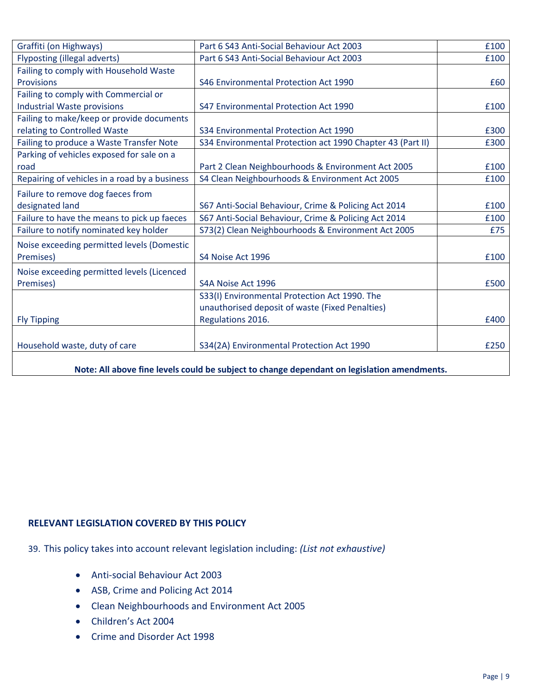| Graffiti (on Highways)                        | Part 6 S43 Anti-Social Behaviour Act 2003                  | £100 |
|-----------------------------------------------|------------------------------------------------------------|------|
| <b>Flyposting (illegal adverts)</b>           | Part 6 S43 Anti-Social Behaviour Act 2003                  | £100 |
| Failing to comply with Household Waste        |                                                            |      |
| <b>Provisions</b>                             | S46 Environmental Protection Act 1990                      | £60  |
| Failing to comply with Commercial or          |                                                            |      |
| Industrial Waste provisions                   | S47 Environmental Protection Act 1990                      | £100 |
| Failing to make/keep or provide documents     |                                                            |      |
| relating to Controlled Waste                  | S34 Environmental Protection Act 1990                      | £300 |
| Failing to produce a Waste Transfer Note      | S34 Environmental Protection act 1990 Chapter 43 (Part II) | £300 |
| Parking of vehicles exposed for sale on a     |                                                            |      |
| road                                          | Part 2 Clean Neighbourhoods & Environment Act 2005         | £100 |
| Repairing of vehicles in a road by a business | S4 Clean Neighbourhoods & Environment Act 2005             | £100 |
| Failure to remove dog faeces from             |                                                            |      |
| designated land                               | S67 Anti-Social Behaviour, Crime & Policing Act 2014       | £100 |
| Failure to have the means to pick up faeces   | S67 Anti-Social Behaviour, Crime & Policing Act 2014       | £100 |
| Failure to notify nominated key holder        | S73(2) Clean Neighbourhoods & Environment Act 2005         | £75  |
| Noise exceeding permitted levels (Domestic    |                                                            |      |
| Premises)                                     | S4 Noise Act 1996                                          | £100 |
| Noise exceeding permitted levels (Licenced    |                                                            |      |
| Premises)                                     | S4A Noise Act 1996                                         | £500 |
|                                               | S33(I) Environmental Protection Act 1990. The              |      |
|                                               | unauthorised deposit of waste (Fixed Penalties)            |      |
| <b>Fly Tipping</b>                            | Regulations 2016.                                          | £400 |
|                                               |                                                            |      |
| Household waste, duty of care                 | S34(2A) Environmental Protection Act 1990                  | £250 |
|                                               |                                                            |      |

**Note: All above fine levels could be subject to change dependant on legislation amendments.** 

#### **RELEVANT LEGISLATION COVERED BY THIS POLICY**

- 39. This policy takes into account relevant legislation including: *(List not exhaustive)*
	- Anti-social Behaviour Act 2003
	- ASB, Crime and Policing Act 2014
	- Clean Neighbourhoods and Environment Act 2005
	- Children's Act 2004
	- Crime and Disorder Act 1998